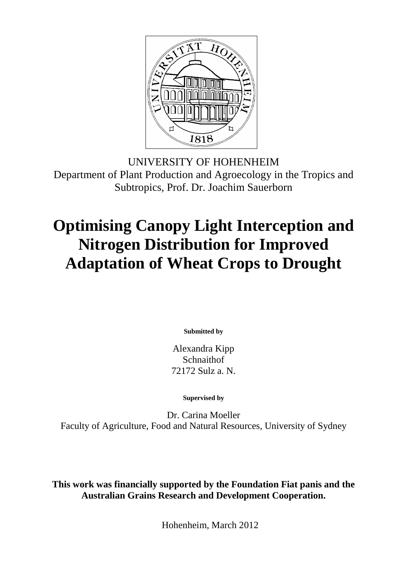

UNIVERSITY OF HOHENHEIM Department of Plant Production and Agroecology in the Tropics and Subtropics, Prof. Dr. Joachim Sauerborn

## **Optimising Canopy Light Interception and Nitrogen Distribution for Improved Adaptation of Wheat Crops to Drought**

**Submitted by** 

Alexandra Kipp Schnaithof 72172 Sulz a. N.

**Supervised by** 

Dr. Carina Moeller Faculty of Agriculture, Food and Natural Resources, University of Sydney

**This work was financially supported by the Foundation Fiat panis and the Australian Grains Research and Development Cooperation.** 

Hohenheim, March 2012